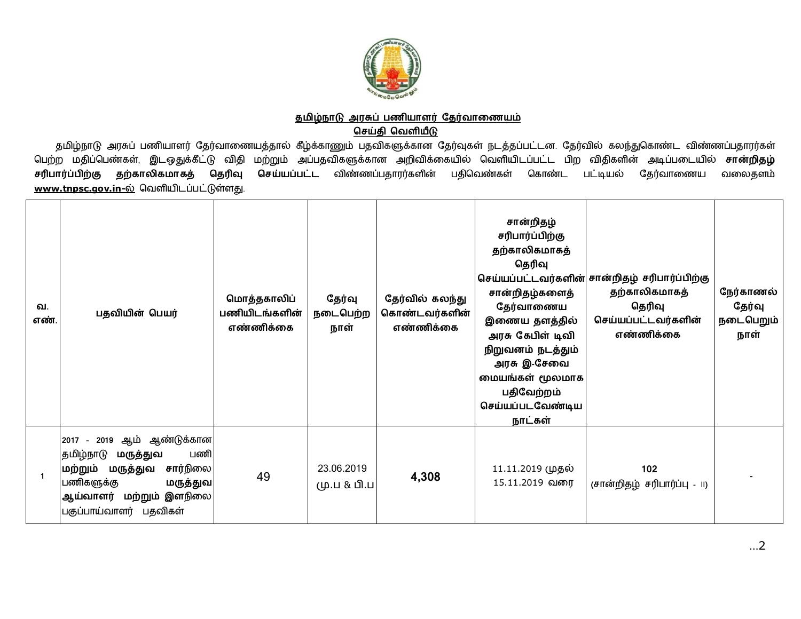

## <u>தமிழ்நாடு அரசுப் பணியாளர் தேர்வாணையம்</u> <u>செய்தி வெளியீடு</u>

தமிழ்நாடு அரசுப் பணியாளர் தேர்வாணையத்தால் கீழ்க்காணும் பதவிகளுக்கான தேர்வுகள் நடத்தப்பட்டன. தேர்வில் கலந்துகொண்ட விண்ணப்பதாரர்கள் பெற்ற மதிப்பெண்கள் இடஒதுக்கீட்டு விதி மற்றும் அப்பதவிகளுக்கான அறிவிக்கையில் வெளியிடப்பட்ட பிற விதிகளின் அடிப்படையில் **சான்றிதழ்**<br>சரிபார்ப்**பிற்கு தற்காலிகமாகத் தெரிவு செய்யப்பட்ட** விண்ணப்பதாரர்களின் பதிவெண்கள் கொண்ட பட்டி **செய்யப்பட்ட** விண்ணப்பதாரர்களின் பதிவெண்கள் கொண்ட பட்டியல் தேர்வாணைய வலைதளம் <u>[www.tnpsc.gov.in-](http://www.tnpsc.gov.in-)ல்</u> வெளியிடப்பட்டுள்ளது.

| வ.<br>எண் | பதவியின் பெயர்                                                                                                                                                         | மொத்தகாலிப்<br>பணியிடங்களின்<br>எண்ணிக்கை | தேர்வு<br>நடைபெற்ற<br>நாள் | தேர்வில் கலந்து<br>கொண்டவர்களின்<br>எண்ணிக்கை | சான்றிதழ்<br>சரிபார்ப்பிற்கு<br>தற்காலிகமாகத்<br>தெரிவு<br>சான்றிதழ்களைத்<br>தேர்வாணைய<br>இணைய தளத்தில்<br>அரசு கேபிள் டிவி<br>நிறுவனம் நடத்தும்<br>அரசு இ-சேவை<br>மையங்கள் மூலமாக<br>பதிவேற்றம்<br>செய்யப்படவேண்டிய<br>நாட்கள் | செய்யப்பட்டவர்களின் சான்றிதழ் சரிபார்ப்பிற்கு<br>தற்காலிகமாகத்<br>தெரிவு<br>செய்யப்பட்டவர்களின்<br>எண்ணிக்கை | நேர்காணல்<br>தேர்வு<br>நடைபெறும்<br>நாள் |
|-----------|------------------------------------------------------------------------------------------------------------------------------------------------------------------------|-------------------------------------------|----------------------------|-----------------------------------------------|---------------------------------------------------------------------------------------------------------------------------------------------------------------------------------------------------------------------------------|--------------------------------------------------------------------------------------------------------------|------------------------------------------|
|           | 2017 - 2019 ஆம் ஆண்டுக்கான<br>தமிழ்நாடு<br>மருத்துவ<br>பணி<br>மற்றும் மருத்துவ சார்நிலை<br>பணிகளுக்கு<br>மருத்துவ<br>ஆய்வாளர் மற்றும் இளநிலை<br>பகுப்பாய்வாளர் பதவிகள் | 49                                        | 23.06.2019<br>மு.ப & பி.ப  | 4,308                                         | 11.11.2019 முதல்<br>15.11.2019 வரை                                                                                                                                                                                              | 102<br>(சான்றிதழ் சரிபார்ப்பு - ။)                                                                           |                                          |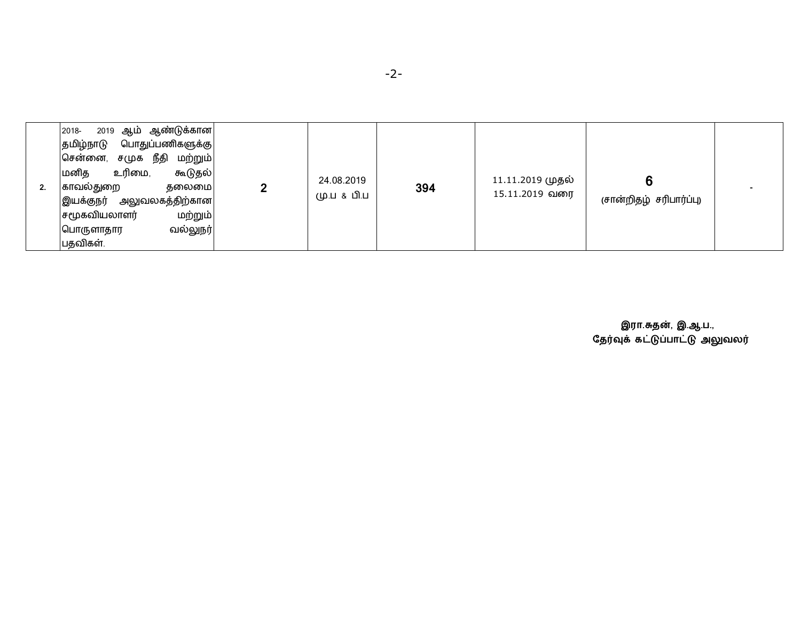| 2. | 2019 ஆம் ஆண்டுக்கான <br>2018-<br>பொதுப்பணிகளுக்கு <br>தமிழ்நாடு<br>சமுக நீதி<br>சென்னை,<br>மற்றும் <br>உரிமை,<br>மனித<br>கூடுதல் <br>காவல்துறை<br>தலைமை<br>அலுவலகத்திற்கான <br>இயக்குநர்<br>மற்றும் <br>சமூகவியலாளர்<br>வல்லுநர் <br>பொருளாதார<br>பதவிகள். |  | 24.08.2019<br>மு.ப & பி.ப | 394 | 11.11.2019 முதல்<br>15.11.2019 வரை | (சான்றிதழ் சரிபார்ப்பு) |  |
|----|------------------------------------------------------------------------------------------------------------------------------------------------------------------------------------------------------------------------------------------------------------|--|---------------------------|-----|------------------------------------|-------------------------|--|
|----|------------------------------------------------------------------------------------------------------------------------------------------------------------------------------------------------------------------------------------------------------------|--|---------------------------|-----|------------------------------------|-------------------------|--|

 **இரா.த}, இ.ஆ.ப.,** தேரவுக் கட்டுப்பாட்டு அலுவலர்